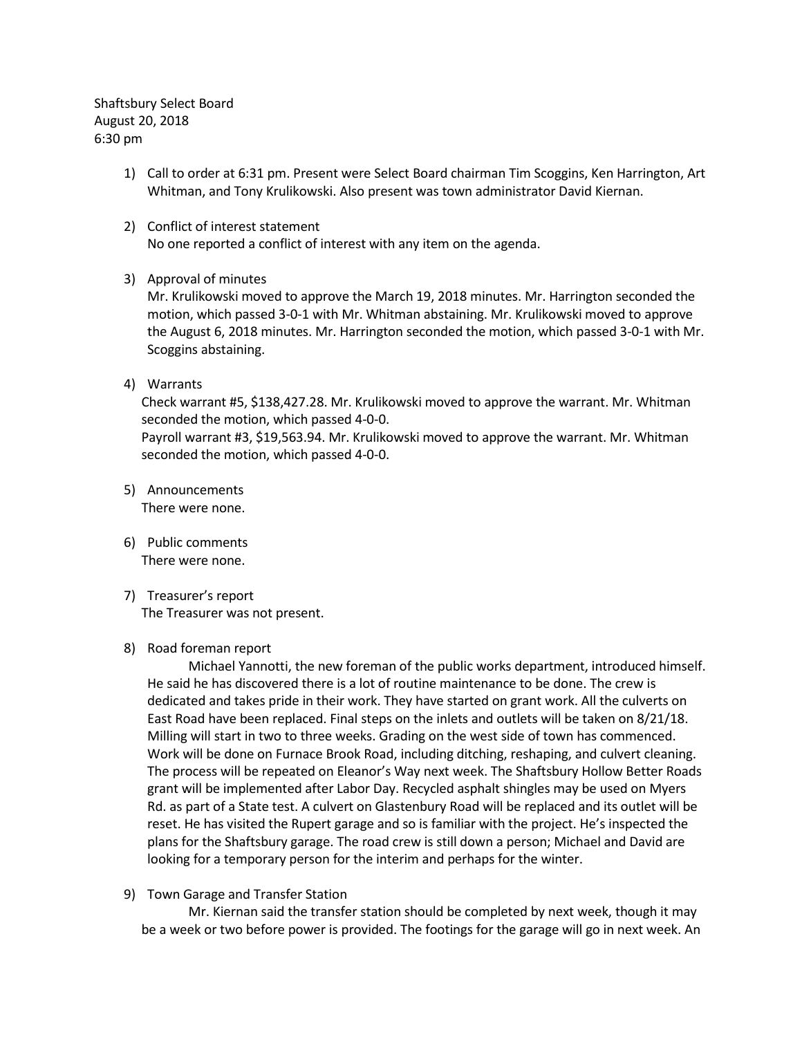Shaftsbury Select Board August 20, 2018 6:30 pm

- 1) Call to order at 6:31 pm. Present were Select Board chairman Tim Scoggins, Ken Harrington, Art Whitman, and Tony Krulikowski. Also present was town administrator David Kiernan.
- 2) Conflict of interest statement No one reported a conflict of interest with any item on the agenda.
- 3) Approval of minutes

Mr. Krulikowski moved to approve the March 19, 2018 minutes. Mr. Harrington seconded the motion, which passed 3-0-1 with Mr. Whitman abstaining. Mr. Krulikowski moved to approve the August 6, 2018 minutes. Mr. Harrington seconded the motion, which passed 3-0-1 with Mr. Scoggins abstaining.

4) Warrants

Check warrant #5, \$138,427.28. Mr. Krulikowski moved to approve the warrant. Mr. Whitman seconded the motion, which passed 4-0-0. Payroll warrant #3, \$19,563.94. Mr. Krulikowski moved to approve the warrant. Mr. Whitman

- 5) Announcements There were none.
- 6) Public comments There were none.
- 7) Treasurer's report The Treasurer was not present.

seconded the motion, which passed 4-0-0.

## 8) Road foreman report

Michael Yannotti, the new foreman of the public works department, introduced himself. He said he has discovered there is a lot of routine maintenance to be done. The crew is dedicated and takes pride in their work. They have started on grant work. All the culverts on East Road have been replaced. Final steps on the inlets and outlets will be taken on 8/21/18. Milling will start in two to three weeks. Grading on the west side of town has commenced. Work will be done on Furnace Brook Road, including ditching, reshaping, and culvert cleaning. The process will be repeated on Eleanor's Way next week. The Shaftsbury Hollow Better Roads grant will be implemented after Labor Day. Recycled asphalt shingles may be used on Myers Rd. as part of a State test. A culvert on Glastenbury Road will be replaced and its outlet will be reset. He has visited the Rupert garage and so is familiar with the project. He's inspected the plans for the Shaftsbury garage. The road crew is still down a person; Michael and David are looking for a temporary person for the interim and perhaps for the winter.

## 9) Town Garage and Transfer Station

Mr. Kiernan said the transfer station should be completed by next week, though it may be a week or two before power is provided. The footings for the garage will go in next week. An